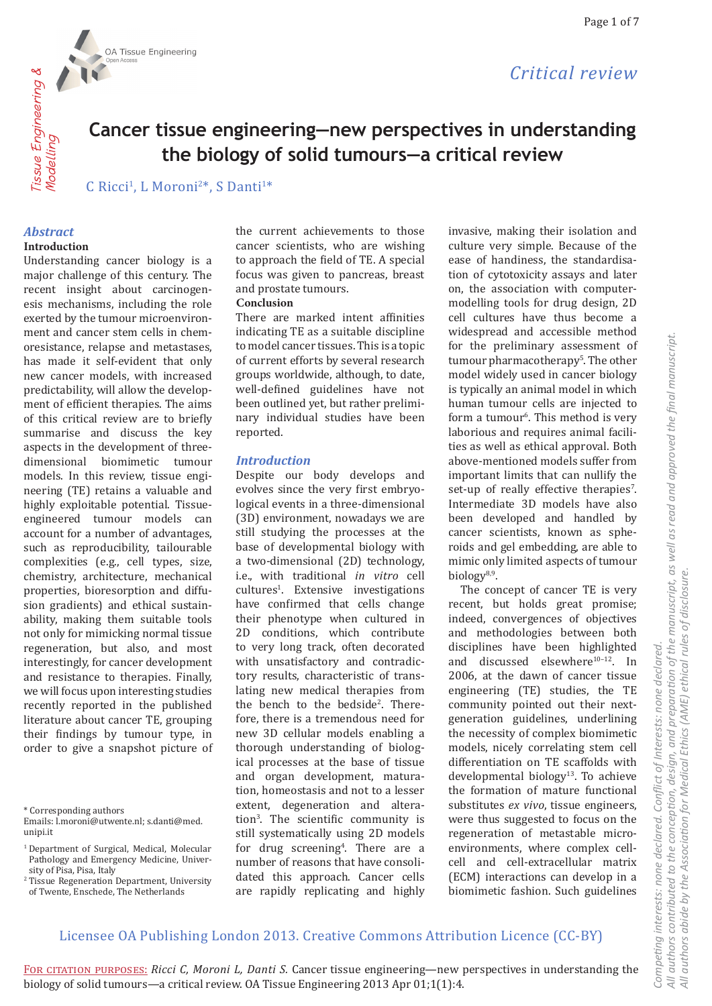

# **Cancer tissue engineering—new perspectives in understanding the biology of solid tumours—a critical review**

C Ricci<sup>1</sup>, L Moroni<sup>2\*</sup>, S Danti<sup>1\*</sup>

OA Tissue Engineering

### *Abstract*

Tissue Engineering &

#### **Introduction**

Understanding cancer biology is a major challenge of this century. The recent insight about carcinogenesis mechanisms, including the role exerted by the tumour microenvironment and cancer stem cells in chemoresistance, relapse and metastases, has made it self-evident that only new cancer models, with increased predictability, will allow the development of efficient therapies. The aims of this critical review are to briefly summarise and discuss the key aspects in the development of threedimensional biomimetic tumour models. In this review, tissue engineering (TE) retains a valuable and highly exploitable potential. Tissueengineered tumour models can account for a number of advantages, such as reproducibility, tailourable complexities (e.g., cell types, size, chemistry, architecture, mechanical properties, bioresorption and diffusion gradients) and ethical sustainability, making them suitable tools not only for mimicking normal tissue regeneration, but also, and most interestingly, for cancer development and resistance to therapies. Finally, we will focus upon interesting studies recently reported in the published literature about cancer TE, grouping their findings by tumour type, in order to give a snapshot picture of **Cancer tiss**<br> **Cancer tiss**<br> **Chancer issue the**<br> **C** Ricci<sup>1</sup>, L Moro<br> **Instance C** Ricci<sup>1</sup>, L Moro<br> **Instance C** Ricci<sup>1</sup>, L Moro<br> **Instance C** C Ricci<sup>1</sup>, L Moro<br> **Instance A** the tunour micronent means and actuar is

Emails: l.moroni@utwente.nl; s.danti@med. unipi.it

2 Tissue Regeneration Department, University

the current achievements to those cancer scientists, who are wishing to approach the field of TE. A special focus was given to pancreas, breast and prostate tumours.

#### **Conclusion**

There are marked intent affinities indicating TE as a suitable discipline to model cancer tissues. This is a topic of current efforts by several research groups worldwide, although, to date, well-defined guidelines have not been outlined yet, but rather preliminary individual studies have been reported.

#### *Introduction*

Despite our body develops and evolves since the very first embryological events in a three-dimensional (3D) environment, nowadays we are still studying the processes at the base of developmental biology with a two-dimensional (2D) technology, i.e., with traditional *in vitro* cell cultures<sup>1</sup>. Extensive investigations have confirmed that cells change their phenotype when cultured in 2D conditions, which contribute to very long track, often decorated with unsatisfactory and contradictory results, characteristic of translating new medical therapies from the bench to the bedside<sup>2</sup>. Therefore, there is a tremendous need for new 3D cellular models enabling a thorough understanding of biological processes at the base of tissue and organ development, maturation, homeostasis and not to a lesser extent, degeneration and alteration3 . The scientific community is still systematically using 2D models for drug screening<sup>4</sup>. There are a number of reasons that have consolidated this approach. Cancer cells are rapidly replicating and highly

invasive, making their isolation and culture very simple. Because of the ease of handiness, the standardisation of cytotoxicity assays and later on, the association with computermodelling tools for drug design, 2D cell cultures have thus become a widespread and accessible method for the preliminary assessment of tumour pharmacotherapy<sup>5</sup>. The other model widely used in cancer biology is typically an animal model in which human tumour cells are injected to form a tumour<sup>6</sup>. This method is very laborious and requires animal facilities as well as ethical approval. Both above-mentioned models suffer from important limits that can nullify the set-up of really effective therapies<sup>7</sup>. Intermediate 3D models have also been developed and handled by cancer scientists, known as spheroids and gel embedding, are able to mimic only limited aspects of tumour biology<sup>8,9</sup>.

The concept of cancer TE is very recent, but holds great promise; indeed, convergences of objectives and methodologies between both disciplines have been highlighted and discussed elsewhere $10-12$ . In 2006, at the dawn of cancer tissue engineering (TE) studies, the TE community pointed out their nextgeneration guidelines, underlining the necessity of complex biomimetic models, nicely correlating stem cell differentiation on TE scaffolds with developmental biology $13$ . To achieve the formation of mature functional substitutes *ex vivo*, tissue engineers, were thus suggested to focus on the regeneration of metastable microenvironments, where complex cellcell and cell-extracellular matrix (ECM) interactions can develop in a biomimetic fashion. Such guidelines

## Licensee OA Publishing London 2013. Creative Commons Attribution Licence (CC-BY)

<sup>\*</sup> Corresponding authors

<sup>&</sup>lt;sup>1</sup> Department of Surgical, Medical, Molecular Pathology and Emergency Medicine, University of Pisa, Pisa, Italy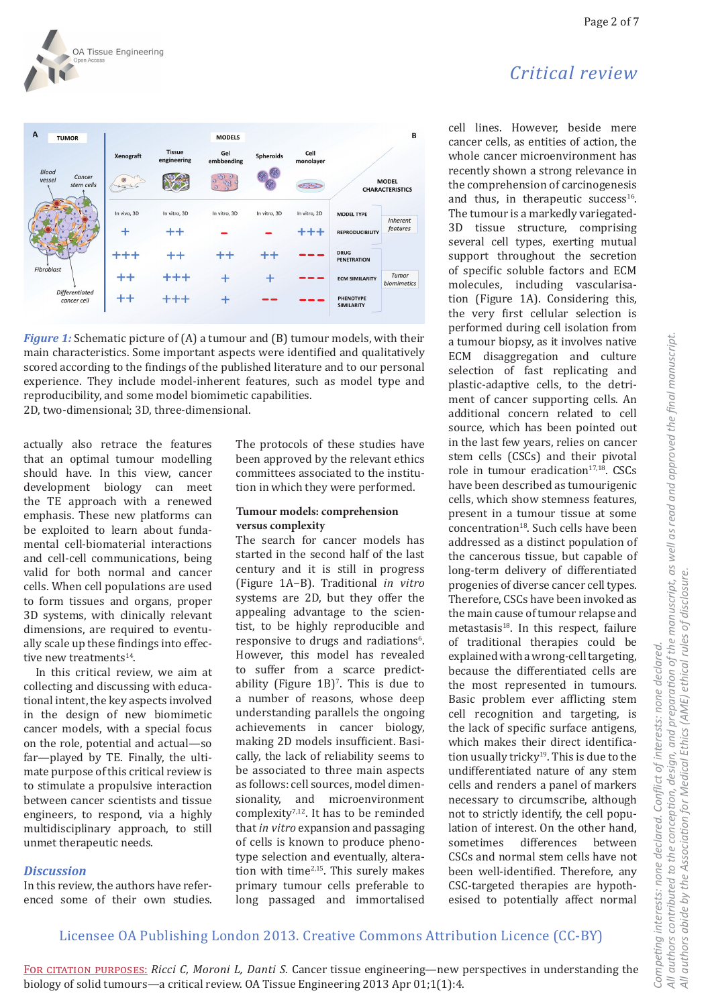

# *Critical review*



*Figure 1:* Schematic picture of (A) a tumour and (B) tumour models, with their main characteristics. Some important aspects were identified and qualitatively scored according to the findings of the published literature and to our personal experience. They include model-inherent features, such as model type and reproducibility, and some model biomimetic capabilities. 2D, two-dimensional; 3D, three-dimensional.

 actually also retrace the features that an optimal tumour modelling should have. In this view, cancer development biology can meet the TE approach with a renewed emphasis. These new platforms can be exploited to learn about fundamental cell-biomaterial interactions and cell-cell communications, being valid for both normal and cancer cells. When cell populations are used to form tissues and organs, proper 3D systems, with clinically relevant dimensions, are required to eventually scale up these findings into effective new treatments<sup>14</sup>.

In this critical review, we aim at collecting and discussing with educational intent, the key aspects involved in the design of new biomimetic cancer models, with a special focus on the role, potential and actual—so far—played by TE. Finally, the ultimate purpose of this critical review is to stimulate a propulsive interaction between cancer scientists and tissue engineers, to respond, via a highly multidisciplinary approach, to still unmet therapeutic needs.

#### *Discussion*

In this review, the authors have referenced some of their own studies. The protocols of these studies have been approved by the relevant ethics committees associated to the institution in which they were performed.

#### **Tumour models: comprehension versus complexity**

The search for cancer models has started in the second half of the last century and it is still in progress (Figure 1A−B). Traditional *in vitro* systems are 2D, but they offer the appealing advantage to the scientist, to be highly reproducible and responsive to drugs and radiations<sup>6</sup>. However, this model has revealed to suffer from a scarce predictability (Figure  $1B$ )<sup>7</sup>. This is due to a number of reasons, whose deep understanding parallels the ongoing achievements in cancer biology, making 2D models insufficient. Basically, the lack of reliability seems to be associated to three main aspects as follows: cell sources, model dimensionality, and microenvironment complexity<sup>7,12</sup>. It has to be reminded that *in vitro* expansion and passaging of cells is known to produce phenotype selection and eventually, alteration with time<sup>2,15</sup>. This surely makes primary tumour cells preferable to long passaged and immortalised

cell lines. However, beside mere cancer cells, as entities of action, the whole cancer microenvironment has recently shown a strong relevance in the comprehension of carcinogenesis and thus, in the rapeutic success $16$ . The tumour is a markedly variegated-3D tissue structure, comprising several cell types, exerting mutual support throughout the secretion of specific soluble factors and ECM molecules, including vascularisation (Figure 1A). Considering this, the very first cellular selection is performed during cell isolation from a tumour biopsy, as it involves native ECM disaggregation and culture selection of fast replicating and plastic-adaptive cells, to the detriment of cancer supporting cells. An additional concern related to cell source, which has been pointed out in the last few years, relies on cancer stem cells (CSCs) and their pivotal role in tumour eradication<sup>17,18</sup>. CSCs have been described as tumourigenic cells, which show stemness features, present in a tumour tissue at some concentration<sup>18</sup>. Such cells have been addressed as a distinct population of the cancerous tissue, but capable of long-term delivery of differentiated progenies of diverse cancer cell types. Therefore, CSCs have been invoked as the main cause of tumour relapse and metastasis $18$ . In this respect, failure of traditional therapies could be explained with a wrong-cell targeting, because the differentiated cells are the most represented in tumours. Basic problem ever afflicting stem cell recognition and targeting, is the lack of specific surface antigens, which makes their direct identification usually tricky<sup>19</sup>. This is due to the undifferentiated nature of any stem cells and renders a panel of markers necessary to circumscribe, although not to strictly identify, the cell population of interest. On the other hand, sometimes differences between CSCs and normal stem cells have not been well-identified. Therefore, any CSC-targeted therapies are hypothesised to potentially affect normal

### Licensee OA Publishing London 2013. Creative Commons Attribution Licence (CC-BY)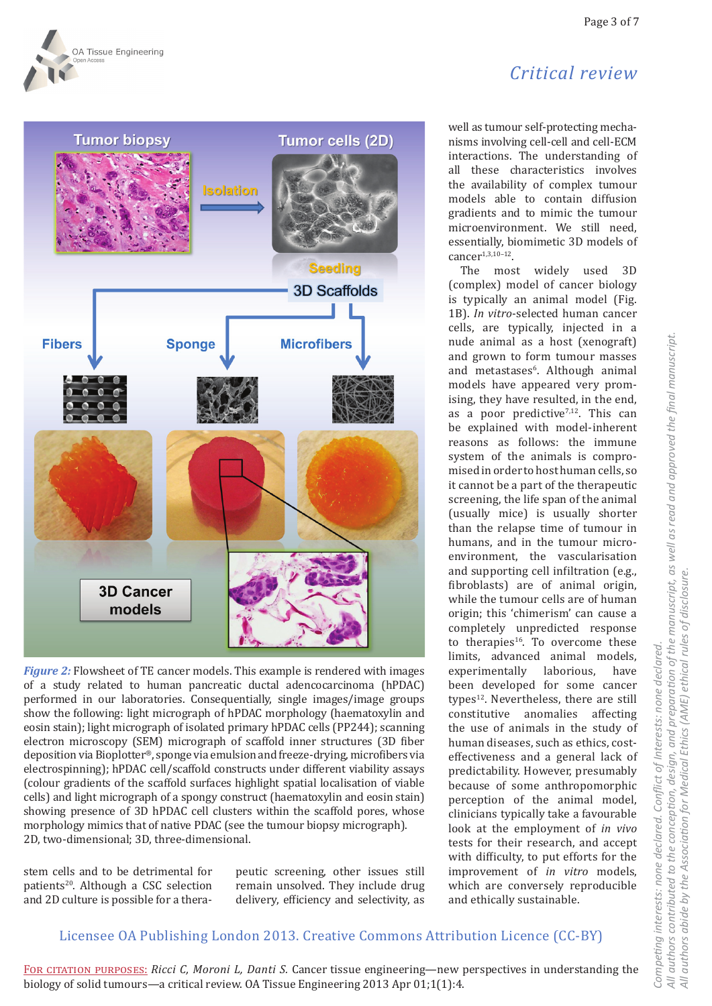*Critical review*





*Figure 2:* Flowsheet of TE cancer models. This example is rendered with images of a study related to human pancreatic ductal adencocarcinoma (hPDAC) performed in our laboratories. Consequentially, single images/image groups show the following: light micrograph of hPDAC morphology (haematoxylin and eosin stain); light micrograph of isolated primary hPDAC cells (PP244); scanning electron microscopy (SEM) micrograph of scaffold inner structures (3D fiber deposition via Bioplotter®, sponge via emulsion and freeze-drying, microfibers via electrospinning); hPDAC cell/scaffold constructs under different viability assays (colour gradients of the scaffold surfaces highlight spatial localisation of viable cells) and light micrograph of a spongy construct (haematoxylin and eosin stain) showing presence of 3D hPDAC cell clusters within the scaffold pores, whose morphology mimics that of native PDAC (see the tumour biopsy micrograph). 2D, two-dimensional; 3D, three-dimensional.

stem cells and to be detrimental for patients<sup>20</sup>. Although a CSC selection and 2D culture is possible for a therapeutic screening, other issues still remain unsolved. They include drug delivery, efficiency and selectivity, as well as tumour self-protecting mechanisms involving cell-cell and cell-ECM interactions. The understanding of all these characteristics involves the availability of complex tumour models able to contain diffusion gradients and to mimic the tumour microenvironment. We still need, essentially, biomimetic 3D models of cancer<sup>1,3,10-12</sup>.

The most widely used 3D (complex) model of cancer biology is typically an animal model (Fig. 1B). *In vitro*-selected human cancer cells, are typically, injected in a nude animal as a host (xenograft) and grown to form tumour masses and metastases<sup>6</sup>. Although animal models have appeared very promising, they have resulted, in the end, as a poor predictive<sup> $7,12$ </sup>. This can be explained with model-inherent reasons as follows: the immune system of the animals is compromised in order to host human cells, so it cannot be a part of the therapeutic screening, the life span of the animal (usually mice) is usually shorter than the relapse time of tumour in humans, and in the tumour microenvironment, the vascularisation and supporting cell infiltration (e.g., fibroblasts) are of animal origin, while the tumour cells are of human origin; this 'chimerism' can cause a completely unpredicted response to therapies<sup>16</sup>. To overcome these limits, advanced animal models, experimentally laborious, have been developed for some cancer types<sup>12</sup>. Nevertheless, there are still constitutive anomalies affecting the use of animals in the study of human diseases, such as ethics, costeffectiveness and a general lack of predictability. However, presumably because of some anthropomorphic perception of the animal model, clinicians typically take a favourable look at the employment of *in vivo*  tests for their research, and accept with difficulty, to put efforts for the improvement of *in vitro* models, which are conversely reproducible and ethically sustainable.

## Licensee OA Publishing London 2013. Creative Commons Attribution Licence (CC-BY)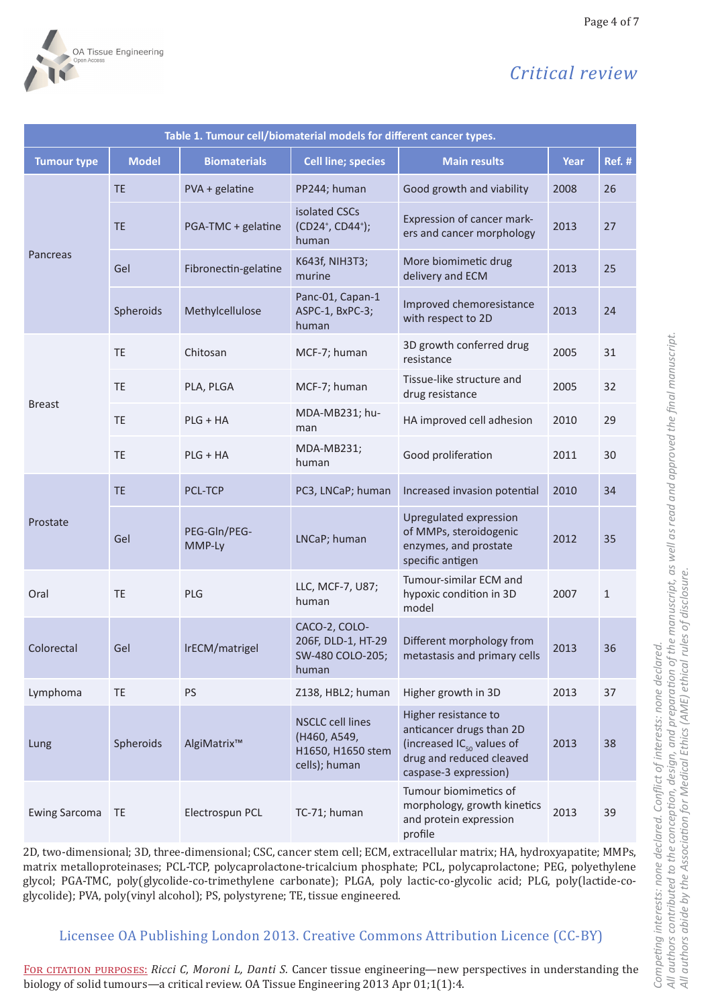

# *Critical review*

| Table 1. Tumour cell/biomaterial models for different cancer types. |              |                        |                                                                               |                                                                                                                                         |      |               |
|---------------------------------------------------------------------|--------------|------------------------|-------------------------------------------------------------------------------|-----------------------------------------------------------------------------------------------------------------------------------------|------|---------------|
| <b>Tumour type</b>                                                  | <b>Model</b> | <b>Biomaterials</b>    | <b>Cell line; species</b>                                                     | <b>Main results</b>                                                                                                                     | Year | <b>Ref. #</b> |
| Pancreas                                                            | TE           | PVA + gelatine         | PP244; human                                                                  | Good growth and viability                                                                                                               | 2008 | 26            |
|                                                                     | <b>TE</b>    | PGA-TMC + gelatine     | isolated CSCs<br>(CD24 <sup>+</sup> , CD44 <sup>+</sup> );<br>human           | Expression of cancer mark-<br>ers and cancer morphology                                                                                 | 2013 | 27            |
|                                                                     | Gel          | Fibronectin-gelatine   | K643f, NIH3T3;<br>murine                                                      | More biomimetic drug<br>delivery and ECM                                                                                                | 2013 | 25            |
|                                                                     | Spheroids    | Methylcellulose        | Panc-01, Capan-1<br>ASPC-1, BxPC-3;<br>human                                  | Improved chemoresistance<br>with respect to 2D                                                                                          | 2013 | 24            |
| <b>Breast</b>                                                       | <b>TE</b>    | Chitosan               | MCF-7; human                                                                  | 3D growth conferred drug<br>resistance                                                                                                  | 2005 | 31            |
|                                                                     | <b>TE</b>    | PLA, PLGA              | MCF-7; human                                                                  | Tissue-like structure and<br>drug resistance                                                                                            | 2005 | 32            |
|                                                                     | <b>TE</b>    | $PLG + HA$             | MDA-MB231; hu-<br>man                                                         | HA improved cell adhesion                                                                                                               | 2010 | 29            |
|                                                                     | <b>TE</b>    | $PLG + HA$             | MDA-MB231;<br>human                                                           | Good proliferation                                                                                                                      | 2011 | 30            |
| Prostate                                                            | <b>TE</b>    | <b>PCL-TCP</b>         | PC3, LNCaP; human                                                             | Increased invasion potential                                                                                                            | 2010 | 34            |
|                                                                     | Gel          | PEG-GIn/PEG-<br>MMP-Ly | LNCaP; human                                                                  | Upregulated expression<br>of MMPs, steroidogenic<br>enzymes, and prostate<br>specific antigen                                           | 2012 | 35            |
| Oral                                                                | <b>TE</b>    | PLG                    | LLC, MCF-7, U87;<br>human                                                     | Tumour-similar ECM and<br>hypoxic condition in 3D<br>model                                                                              | 2007 | $\mathbf{1}$  |
| Colorectal                                                          | Gel          | IrECM/matrigel         | CACO-2, COLO-<br>206F, DLD-1, HT-29<br>SW-480 COLO-205;<br>human              | Different morphology from<br>metastasis and primary cells                                                                               | 2013 | 36            |
| Lymphoma                                                            | TE           | PS                     | Z138, HBL2; human                                                             | Higher growth in 3D                                                                                                                     | 2013 | 37            |
| Lung                                                                | Spheroids    | AlgiMatrix™            | <b>NSCLC cell lines</b><br>(H460, A549,<br>H1650, H1650 stem<br>cells); human | Higher resistance to<br>anticancer drugs than 2D<br>(increased $IC_{50}$ values of<br>drug and reduced cleaved<br>caspase-3 expression) | 2013 | 38            |
| <b>Ewing Sarcoma</b>                                                | <b>TE</b>    | Electrospun PCL        | TC-71; human                                                                  | Tumour biomimetics of<br>morphology, growth kinetics<br>and protein expression<br>profile                                               | 2013 | 39            |

2D, two-dimensional; 3D, three-dimensional; CSC, cancer stem cell; ECM, extracellular matrix; HA, hydroxyapatite; MMPs, matrix metalloproteinases; PCL-TCP, polycaprolactone-tricalcium phosphate; PCL, polycaprolactone; PEG, polyethylene glycol; PGA-TMC, poly(glycolide-co-trimethylene carbonate); PLGA, poly lactic-co-glycolic acid; PLG, poly(lactide-coglycolide); PVA, poly(vinyl alcohol); PS, polystyrene; TE, tissue engineered.

## Licensee OA Publishing London 2013. Creative Commons Attribution Licence (CC-BY)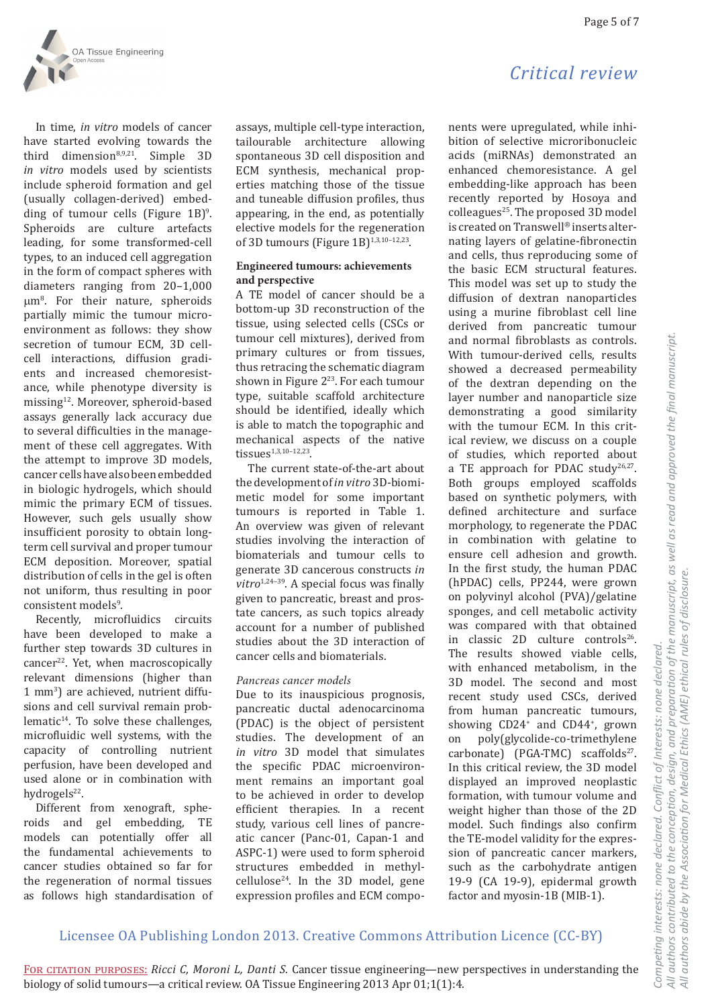In time, *in vitro* models of cancer have started evolving towards the third dimension8,9,21. Simple 3D *in vitro* models used by scientists include spheroid formation and gel (usually collagen-derived) embedding of tumour cells (Figure  $1B$ )<sup>9</sup>. Spheroids are culture artefacts leading, for some transformed-cell types, to an induced cell aggregation in the form of compact spheres with diameters ranging from 20–1,000 µm<sup>8</sup>. For their nature, spheroids partially mimic the tumour microenvironment as follows: they show secretion of tumour ECM, 3D cellcell interactions, diffusion gradients and increased chemoresistance, while phenotype diversity is missing<sup>12</sup>. Moreover, spheroid-based assays generally lack accuracy due to several difficulties in the management of these cell aggregates. With the attempt to improve 3D models, cancer cells have also been embedded in biologic hydrogels, which should mimic the primary ECM of tissues. However, such gels usually show insufficient porosity to obtain longterm cell survival and proper tumour ECM deposition. Moreover, spatial distribution of cells in the gel is often not uniform, thus resulting in poor consistent models<sup>9</sup>.

Recently, microfluidics circuits have been developed to make a further step towards 3D cultures in cancer<sup>22</sup>. Yet, when macroscopically relevant dimensions (higher than 1 mm3 ) are achieved, nutrient diffusions and cell survival remain problematic $14$ . To solve these challenges, microfluidic well systems, with the capacity of controlling nutrient perfusion, have been developed and used alone or in combination with hydrogels<sup>22</sup>.

Different from xenograft, spheroids and gel embedding, TE models can potentially offer all the fundamental achievements to cancer studies obtained so far for the regeneration of normal tissues as follows high standardisation of assays, multiple cell-type interaction, tailourable architecture allowing spontaneous 3D cell disposition and ECM synthesis, mechanical properties matching those of the tissue and tuneable diffusion profiles, thus appearing, in the end, as potentially elective models for the regeneration of 3D tumours (Figure 1B)<sup>1,3,10-12,23</sup>.

#### **Engineered tumours: achievements and perspective**

A TE model of cancer should be a bottom-up 3D reconstruction of the tissue, using selected cells (CSCs or tumour cell mixtures), derived from primary cultures or from tissues, thus retracing the schematic diagram shown in Figure  $2^{23}$ . For each tumour type, suitable scaffold architecture should be identified, ideally which is able to match the topographic and mechanical aspects of the native tissues1,3,10–12,23.

The current state-of-the-art about the development of *in vitro* 3D-biomimetic model for some important tumours is reported in Table 1. An overview was given of relevant studies involving the interaction of biomaterials and tumour cells to generate 3D cancerous constructs *in vitro*1,24–39. A special focus was finally given to pancreatic, breast and prostate cancers, as such topics already account for a number of published studies about the 3D interaction of cancer cells and biomaterials.

#### *Pancreas cancer models*

Due to its inauspicious prognosis, pancreatic ductal adenocarcinoma (PDAC) is the object of persistent studies. The development of an *in vitro* 3D model that simulates the specific PDAC microenvironment remains an important goal to be achieved in order to develop efficient therapies. In a recent study, various cell lines of pancreatic cancer (Panc-01, Capan-1 and ASPC-1) were used to form spheroid structures embedded in methyl $cellulose<sup>24</sup>$ . In the 3D model, gene expression profiles and ECM compo-

# *Critical review*

nents were upregulated, while inhibition of selective microribonucleic acids (miRNAs) demonstrated an enhanced chemoresistance. A gel embedding-like approach has been recently reported by Hosoya and colleagues<sup>25</sup>. The proposed 3D model is created on Transwell® inserts alternating layers of gelatine-fibronectin and cells, thus reproducing some of the basic ECM structural features. This model was set up to study the diffusion of dextran nanoparticles using a murine fibroblast cell line derived from pancreatic tumour and normal fibroblasts as controls. With tumour-derived cells, results showed a decreased permeability of the dextran depending on the layer number and nanoparticle size demonstrating a good similarity with the tumour ECM. In this critical review, we discuss on a couple of studies, which reported about a TE approach for PDAC study<sup>26,27</sup>. Both groups employed scaffolds based on synthetic polymers, with defined architecture and surface morphology, to regenerate the PDAC in combination with gelatine to ensure cell adhesion and growth. In the first study, the human PDAC (hPDAC) cells, PP244, were grown on polyvinyl alcohol (PVA)/gelatine sponges, and cell metabolic activity was compared with that obtained in classic  $2D$  culture controls<sup>26</sup>. The results showed viable cells, with enhanced metabolism, in the 3D model. The second and most recent study used CSCs, derived from human pancreatic tumours, showing CD24<sup>+</sup> and CD44<sup>+</sup>, grown on poly(glycolide-co-trimethylene  $carbonate) (PGA-TMC) scaffolds<sup>27</sup>.$ In this critical review, the 3D model displayed an improved neoplastic formation, with tumour volume and weight higher than those of the 2D model. Such findings also confirm the TE-model validity for the expression of pancreatic cancer markers, such as the carbohydrate antigen 19-9 (CA 19-9), epidermal growth factor and myosin-1B (MIB-1).

## Licensee OA Publishing London 2013. Creative Commons Attribution Licence (CC-BY)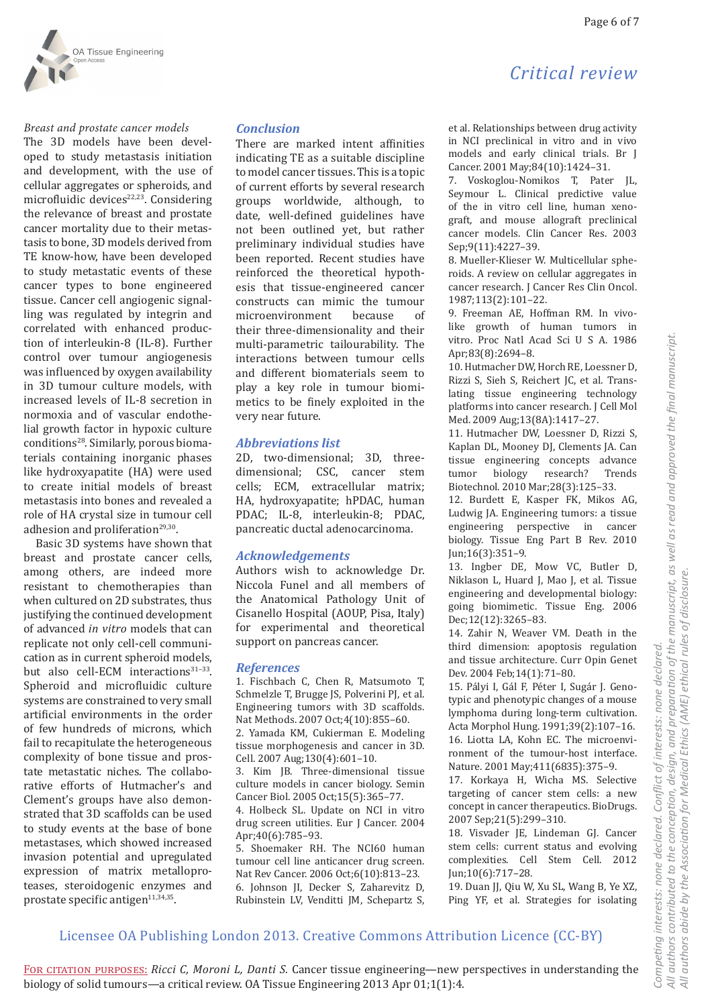*Breast and prostate cancer models*

The 3D models have been developed to study metastasis initiation and development, with the use of cellular aggregates or spheroids, and microfluidic devices<sup>22,23</sup>. Considering the relevance of breast and prostate cancer mortality due to their metastasis to bone, 3D models derived from TE know-how, have been developed to study metastatic events of these cancer types to bone engineered tissue. Cancer cell angiogenic signalling was regulated by integrin and

correlated with enhanced production of interleukin-8 (IL-8). Further control over tumour angiogenesis was influenced by oxygen availability in 3D tumour culture models, with increased levels of IL-8 secretion in normoxia and of vascular endothelial growth factor in hypoxic culture conditions<sup>28</sup>. Similarly, porous biomaterials containing inorganic phases like hydroxyapatite (HA) were used to create initial models of breast metastasis into bones and revealed a role of HA crystal size in tumour cell adhesion and proliferation $29,30$ .

Basic 3D systems have shown that breast and prostate cancer cells, among others, are indeed more resistant to chemotherapies than when cultured on 2D substrates, thus justifying the continued development of advanced *in vitro* models that can replicate not only cell-cell communication as in current spheroid models, but also cell-ECM interactions $31-33$ . Spheroid and microfluidic culture systems are constrained to very small artificial environments in the order of few hundreds of microns, which fail to recapitulate the heterogeneous complexity of bone tissue and prostate metastatic niches. The collaborative efforts of Hutmacher's and Clement's groups have also demonstrated that 3D scaffolds can be used to study events at the base of bone metastases, which showed increased invasion potential and upregulated expression of matrix metalloproteases, steroidogenic enzymes and prostate specific antigen $11,34,35$ .

*Conclusion* There are marked intent affinities

indicating TE as a suitable discipline to model cancer tissues. This is a topic of current efforts by several research groups worldwide, although, to date, well-defined guidelines have not been outlined yet, but rather preliminary individual studies have been reported. Recent studies have reinforced the theoretical hypothesis that tissue-engineered cancer constructs can mimic the tumour microenvironment because of their three-dimensionality and their multi-parametric tailourability. The interactions between tumour cells and different biomaterials seem to play a key role in tumour biomimetics to be finely exploited in the very near future.

#### *Abbreviations list*

2D, two-dimensional; 3D, threedimensional; CSC, cancer stem cells; ECM, extracellular matrix; HA, hydroxyapatite; hPDAC, human PDAC; IL-8, interleukin-8; PDAC, pancreatic ductal adenocarcinoma.

### *Acknowledgements*

Authors wish to acknowledge Dr. Niccola Funel and all members of the Anatomical Pathology Unit of Cisanello Hospital (AOUP, Pisa, Italy) for experimental and theoretical support on pancreas cancer.

#### *References*

1. Fischbach C, Chen R, Matsumoto T, Schmelzle T, Brugge JS, Polverini PJ, et al. Engineering tumors with 3D scaffolds. Nat Methods. 2007 Oct;4(10):855–60. 2. Yamada KM, Cukierman E. Modeling tissue morphogenesis and cancer in 3D. Cell. 2007 Aug;130(4):601–10.

3. Kim JB. Three-dimensional tissue culture models in cancer biology. Semin Cancer Biol. 2005 Oct;15(5):365–77.

4. Holbeck SL. Update on NCI in vitro drug screen utilities. Eur J Cancer. 2004 Apr;40(6):785–93.

5. Shoemaker RH. The NCI60 human tumour cell line anticancer drug screen. Nat Rev Cancer. 2006 Oct;6(10):813–23. 6. Johnson JI, Decker S, Zaharevitz D, Rubinstein LV, Venditti JM, Schepartz S,

et al. Relationships between drug activity in NCI preclinical in vitro and in vivo models and early clinical trials. Br J Cancer. 2001 May;84(10):1424–31.

*Critical review*

7. Voskoglou-Nomikos T, Pater JL, Seymour L. Clinical predictive value of the in vitro cell line, human xenograft, and mouse allograft preclinical cancer models. Clin Cancer Res. 2003 Sep;9(11):4227–39.

8. Mueller-Klieser W. Multicellular spheroids. A review on cellular aggregates in cancer research. J Cancer Res Clin Oncol. 1987;113(2):101–22.

9. Freeman AE, Hoffman RM. In vivolike growth of human tumors in vitro. Proc Natl Acad Sci U S A. 1986 Apr;83(8):2694–8.

10. Hutmacher DW, Horch RE, Loessner D, Rizzi S, Sieh S, Reichert JC, et al. Translating tissue engineering technology platforms into cancer research. J Cell Mol Med. 2009 Aug;13(8A):1417–27.

11. Hutmacher DW, Loessner D, Rizzi S, Kaplan DL, Mooney DJ, Clements JA. Can tissue engineering concepts advance tumor biology research? Trends Biotechnol. 2010 Mar;28(3):125–33.

12. Burdett E, Kasper FK, Mikos AG, Ludwig JA. Engineering tumors: a tissue engineering perspective in cancer biology. Tissue Eng Part B Rev. 2010 Jun;16(3):351–9.

13. Ingber DE, Mow VC, Butler D, Niklason L, Huard J, Mao J, et al. Tissue engineering and developmental biology: going biomimetic. Tissue Eng. 2006 Dec;12(12):3265–83.

14. Zahir N, Weaver VM. Death in the third dimension: apoptosis regulation and tissue architecture. Curr Opin Genet Dev. 2004 Feb;14(1):71–80.

15. Pályi I, Gál F, Péter I, Sugár J. Genotypic and phenotypic changes of a mouse lymphoma during long-term cultivation. Acta Morphol Hung. 1991;39(2):107–16. 16. Liotta LA, Kohn EC. The microenvironment of the tumour-host interface. Nature. 2001 May;411(6835):375–9.

17. Korkaya H, Wicha MS. Selective targeting of cancer stem cells: a new concept in cancer therapeutics. BioDrugs. 2007 Sep;21(5):299–310.

18. Visvader JE, Lindeman GJ. Cancer stem cells: current status and evolving complexities. Cell Stem Cell. 2012 Jun;10(6):717–28.

19. Duan JJ, Qiu W, Xu SL, Wang B, Ye XZ, Ping YF, et al. Strategies for isolating

## Licensee OA Publishing London 2013. Creative Commons Attribution Licence (CC-BY)